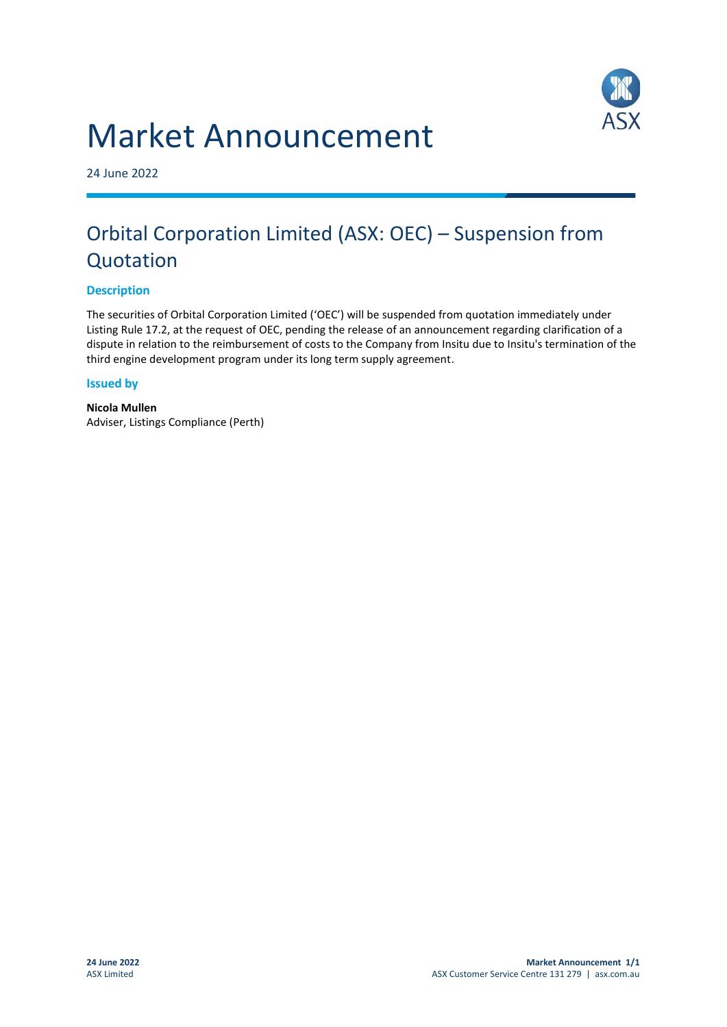



24 June 2022

## Orbital Corporation Limited (ASX: OEC) – Suspension from Quotation

## **Description**

The securities of Orbital Corporation Limited ('OEC') will be suspended from quotation immediately under Listing Rule 17.2, at the request of OEC, pending the release of an announcement regarding clarification of a dispute in relation to the reimbursement of costs to the Company from Insitu due to Insitu's termination of the third engine development program under its long term supply agreement.

## **Issued by**

**Nicola Mullen** Adviser, Listings Compliance (Perth)